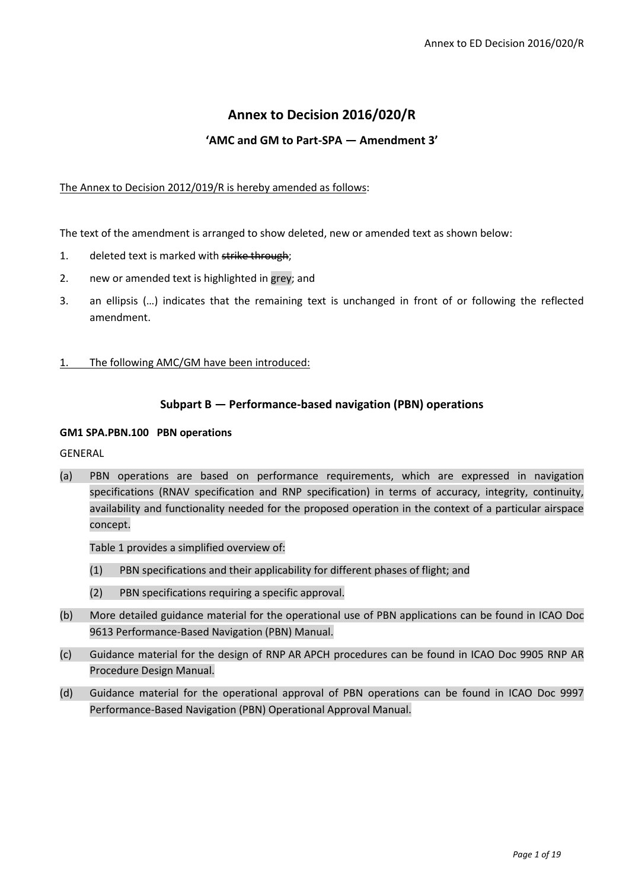# **Annex to Decision 2016/020/R**

# **'AMC and GM to Part-SPA — Amendment 3'**

#### The Annex to Decision 2012/019/R is hereby amended as follows:

The text of the amendment is arranged to show deleted, new or amended text as shown below:

- 1. deleted text is marked with strike through;
- 2. new or amended text is highlighted in grey; and
- 3. an ellipsis (…) indicates that the remaining text is unchanged in front of or following the reflected amendment.
- 1. The following AMC/GM have been introduced:

#### **Subpart B — Performance-based navigation (PBN) operations**

#### **GM1 SPA.PBN.100 PBN operations**

GENERAL

(a) PBN operations are based on performance requirements, which are expressed in navigation specifications (RNAV specification and RNP specification) in terms of accuracy, integrity, continuity, availability and functionality needed for the proposed operation in the context of a particular airspace concept.

Table 1 provides a simplified overview of:

- (1) PBN specifications and their applicability for different phases of flight; and
- (2) PBN specifications requiring a specific approval.
- (b) More detailed guidance material for the operational use of PBN applications can be found in ICAO Doc 9613 Performance-Based Navigation (PBN) Manual.
- (c) Guidance material for the design of RNP AR APCH procedures can be found in ICAO Doc 9905 RNP AR Procedure Design Manual.
- (d) Guidance material for the operational approval of PBN operations can be found in ICAO Doc 9997 Performance-Based Navigation (PBN) Operational Approval Manual.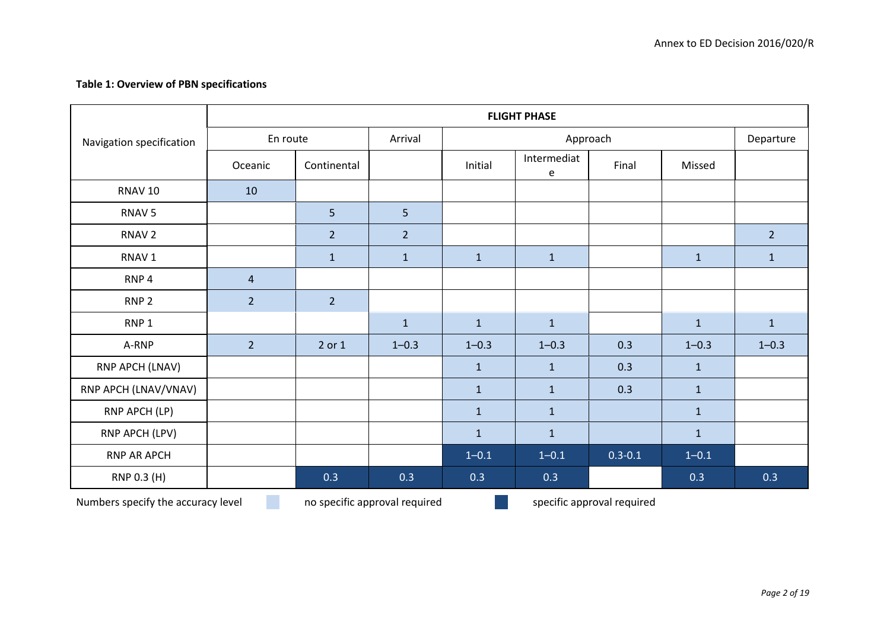# **Table 1: Overview of PBN specifications**

| Navigation specification           | <b>FLIGHT PHASE</b> |                               |                |              |                            |             |              |                |  |  |  |
|------------------------------------|---------------------|-------------------------------|----------------|--------------|----------------------------|-------------|--------------|----------------|--|--|--|
|                                    | En route            |                               | Arrival        | Approach     |                            |             |              | Departure      |  |  |  |
|                                    | Oceanic             | Continental                   |                | Initial      | Intermediat<br>e           | Final       | Missed       |                |  |  |  |
| RNAV <sub>10</sub>                 | 10                  |                               |                |              |                            |             |              |                |  |  |  |
| RNAV <sub>5</sub>                  |                     | 5                             | 5              |              |                            |             |              |                |  |  |  |
| RNAV <sub>2</sub>                  |                     | $\overline{2}$                | $\overline{2}$ |              |                            |             |              | $\overline{2}$ |  |  |  |
| RNAV <sub>1</sub>                  |                     | $\mathbf{1}$                  | $\mathbf{1}$   | $\mathbf{1}$ | $\mathbf{1}$               |             | $\mathbf{1}$ | $\mathbf{1}$   |  |  |  |
| RNP <sub>4</sub>                   | $\overline{4}$      |                               |                |              |                            |             |              |                |  |  |  |
| RNP <sub>2</sub>                   | $\overline{2}$      | $\overline{2}$                |                |              |                            |             |              |                |  |  |  |
| RNP <sub>1</sub>                   |                     |                               | $\mathbf{1}$   | $\mathbf{1}$ | $\mathbf{1}$               |             | $\mathbf{1}$ | $\mathbf{1}$   |  |  |  |
| A-RNP                              | $\overline{2}$      | 2 or 1                        | $1 - 0.3$      | $1 - 0.3$    | $1 - 0.3$                  | 0.3         | $1 - 0.3$    | $1 - 0.3$      |  |  |  |
| RNP APCH (LNAV)                    |                     |                               |                | $\mathbf{1}$ | $\mathbf{1}$               | 0.3         | $\mathbf{1}$ |                |  |  |  |
| RNP APCH (LNAV/VNAV)               |                     |                               |                | $\mathbf 1$  | $\mathbf{1}$               | 0.3         | $\mathbf{1}$ |                |  |  |  |
| RNP APCH (LP)                      |                     |                               |                | $\mathbf 1$  | $\mathbf{1}$               |             | $\mathbf 1$  |                |  |  |  |
| RNP APCH (LPV)                     |                     |                               |                | $\mathbf{1}$ | $\mathbf{1}$               |             | $\mathbf{1}$ |                |  |  |  |
| <b>RNP AR APCH</b>                 |                     |                               |                | $1 - 0.1$    | $1 - 0.1$                  | $0.3 - 0.1$ | $1 - 0.1$    |                |  |  |  |
| RNP 0.3 (H)                        |                     | 0.3                           | 0.3            | 0.3          | 0.3                        |             | 0.3          | 0.3            |  |  |  |
| Numbers specify the accuracy level |                     | no specific approval required |                |              | specific approval required |             |              |                |  |  |  |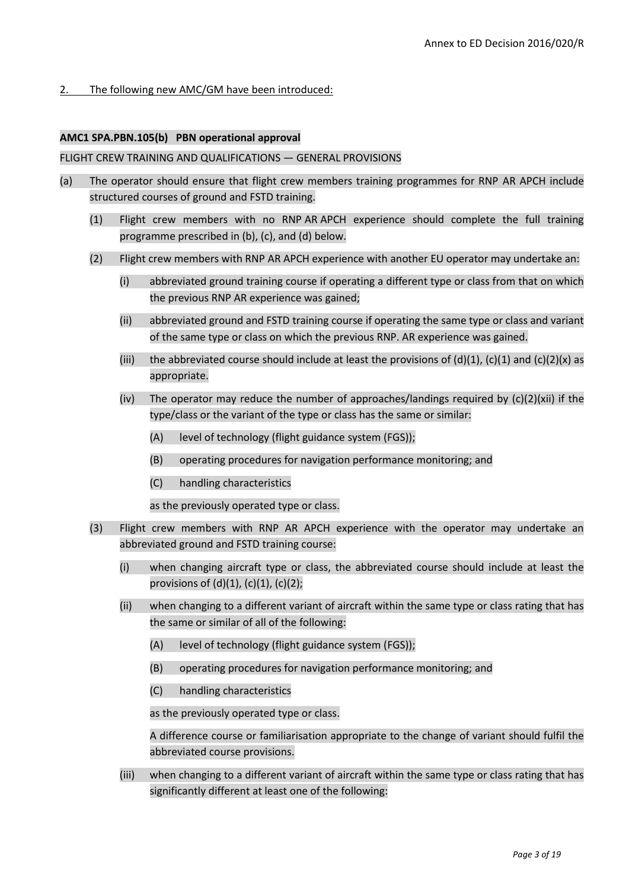# 2. The following new AMC/GM have been introduced:

#### **AMC1 SPA.PBN.105(b) PBN operational approval**

#### FLIGHT CREW TRAINING AND QUALIFICATIONS — GENERAL PROVISIONS

- (a) The operator should ensure that flight crew members training programmes for RNP AR APCH include structured courses of ground and FSTD training.
	- (1) Flight crew members with no RNP AR APCH experience should complete the full training programme prescribed in (b), (c), and (d) below.
	- (2) Flight crew members with RNP AR APCH experience with another EU operator may undertake an:
		- (i) abbreviated ground training course if operating a different type or class from that on which the previous RNP AR experience was gained;
		- (ii) abbreviated ground and FSTD training course if operating the same type or class and variant of the same type or class on which the previous RNP. AR experience was gained.
		- (iii) the abbreviated course should include at least the provisions of (d)(1), (c)(1) and (c)(2)(x) as appropriate.
		- (iv) The operator may reduce the number of approaches/landings required by  $(c)(2)(xii)$  if the type/class or the variant of the type or class has the same or similar:
			- (A) level of technology (flight guidance system (FGS));
			- (B) operating procedures for navigation performance monitoring; and
			- (C) handling characteristics

as the previously operated type or class.

- (3) Flight crew members with RNP AR APCH experience with the operator may undertake an abbreviated ground and FSTD training course:
	- (i) when changing aircraft type or class, the abbreviated course should include at least the provisions of  $(d)(1)$ ,  $(c)(1)$ ,  $(c)(2)$ ;
	- (ii) when changing to a different variant of aircraft within the same type or class rating that has the same or similar of all of the following:
		- (A) level of technology (flight guidance system (FGS));
		- (B) operating procedures for navigation performance monitoring; and
		- (C) handling characteristics

as the previously operated type or class.

A difference course or familiarisation appropriate to the change of variant should fulfil the abbreviated course provisions.

(iii) when changing to a different variant of aircraft within the same type or class rating that has significantly different at least one of the following: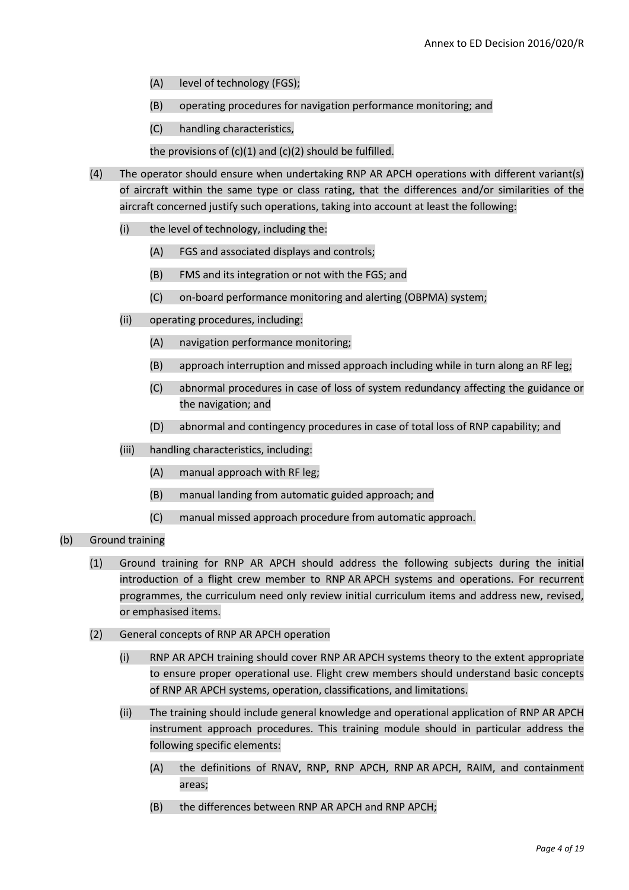- (A) level of technology (FGS);
- (B) operating procedures for navigation performance monitoring; and
- (C) handling characteristics,

the provisions of  $(c)(1)$  and  $(c)(2)$  should be fulfilled.

- (4) The operator should ensure when undertaking RNP AR APCH operations with different variant(s) of aircraft within the same type or class rating, that the differences and/or similarities of the aircraft concerned justify such operations, taking into account at least the following:
	- (i) the level of technology, including the:
		- (A) FGS and associated displays and controls;
		- (B) FMS and its integration or not with the FGS; and
		- (C) on-board performance monitoring and alerting (OBPMA) system;
	- (ii) operating procedures, including:
		- (A) navigation performance monitoring;
		- (B) approach interruption and missed approach including while in turn along an RF leg;
		- (C) abnormal procedures in case of loss of system redundancy affecting the guidance or the navigation; and
		- (D) abnormal and contingency procedures in case of total loss of RNP capability; and
	- (iii) handling characteristics, including:
		- (A) manual approach with RF leg;
		- (B) manual landing from automatic guided approach; and
		- (C) manual missed approach procedure from automatic approach.
- (b) Ground training
	- (1) Ground training for RNP AR APCH should address the following subjects during the initial introduction of a flight crew member to RNP AR APCH systems and operations. For recurrent programmes, the curriculum need only review initial curriculum items and address new, revised, or emphasised items.
	- (2) General concepts of RNP AR APCH operation
		- (i) RNP AR APCH training should cover RNP AR APCH systems theory to the extent appropriate to ensure proper operational use. Flight crew members should understand basic concepts of RNP AR APCH systems, operation, classifications, and limitations.
		- (ii) The training should include general knowledge and operational application of RNP AR APCH instrument approach procedures. This training module should in particular address the following specific elements:
			- (A) the definitions of RNAV, RNP, RNP APCH, RNP AR APCH, RAIM, and containment areas;
			- (B) the differences between RNP AR APCH and RNP APCH;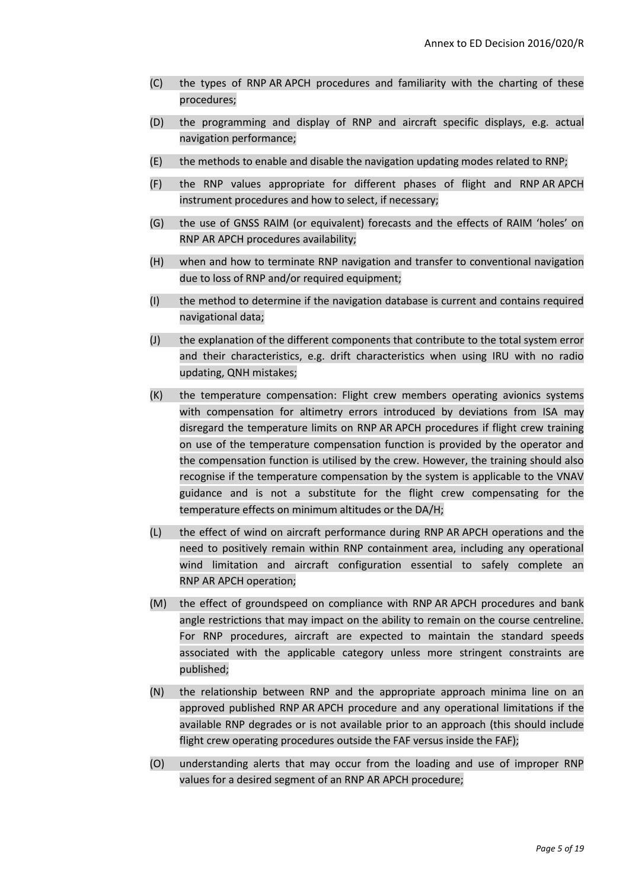- (C) the types of RNP AR APCH procedures and familiarity with the charting of these procedures;
- (D) the programming and display of RNP and aircraft specific displays, e.g. actual navigation performance;
- (E) the methods to enable and disable the navigation updating modes related to RNP;
- (F) the RNP values appropriate for different phases of flight and RNP AR APCH instrument procedures and how to select, if necessary;
- (G) the use of GNSS RAIM (or equivalent) forecasts and the effects of RAIM 'holes' on RNP AR APCH procedures availability;
- (H) when and how to terminate RNP navigation and transfer to conventional navigation due to loss of RNP and/or required equipment;
- (I) the method to determine if the navigation database is current and contains required navigational data;
- (J) the explanation of the different components that contribute to the total system error and their characteristics, e.g. drift characteristics when using IRU with no radio updating, QNH mistakes;
- (K) the temperature compensation: Flight crew members operating avionics systems with compensation for altimetry errors introduced by deviations from ISA may disregard the temperature limits on RNP AR APCH procedures if flight crew training on use of the temperature compensation function is provided by the operator and the compensation function is utilised by the crew. However, the training should also recognise if the temperature compensation by the system is applicable to the VNAV guidance and is not a substitute for the flight crew compensating for the temperature effects on minimum altitudes or the DA/H;
- (L) the effect of wind on aircraft performance during RNP AR APCH operations and the need to positively remain within RNP containment area, including any operational wind limitation and aircraft configuration essential to safely complete an RNP AR APCH operation;
- (M) the effect of groundspeed on compliance with RNP AR APCH procedures and bank angle restrictions that may impact on the ability to remain on the course centreline. For RNP procedures, aircraft are expected to maintain the standard speeds associated with the applicable category unless more stringent constraints are published;
- (N) the relationship between RNP and the appropriate approach minima line on an approved published RNP AR APCH procedure and any operational limitations if the available RNP degrades or is not available prior to an approach (this should include flight crew operating procedures outside the FAF versus inside the FAF);
- (O) understanding alerts that may occur from the loading and use of improper RNP values for a desired segment of an RNP AR APCH procedure;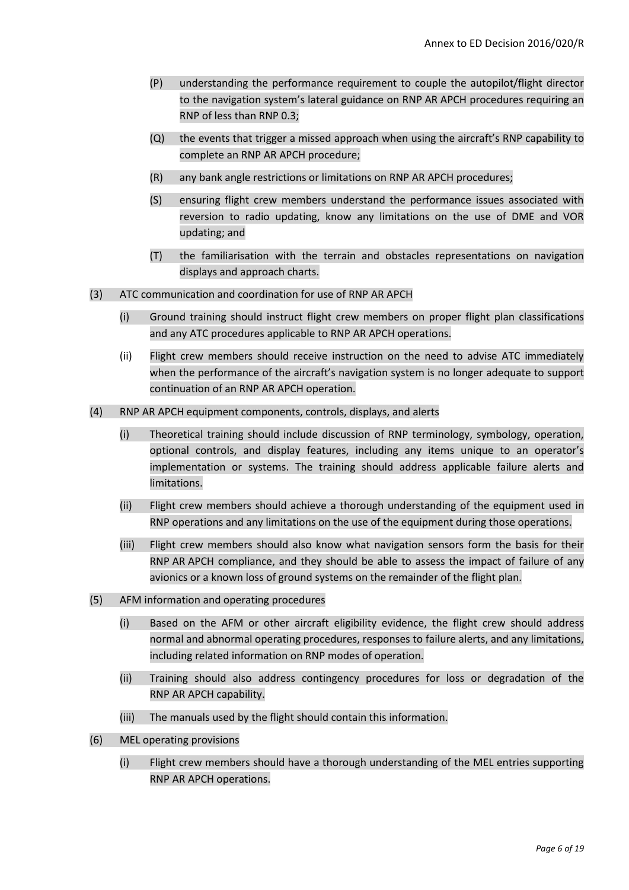- (P) understanding the performance requirement to couple the autopilot/flight director to the navigation system's lateral guidance on RNP AR APCH procedures requiring an RNP of less than RNP 0.3;
- (Q) the events that trigger a missed approach when using the aircraft's RNP capability to complete an RNP AR APCH procedure;
- (R) any bank angle restrictions or limitations on RNP AR APCH procedures;
- (S) ensuring flight crew members understand the performance issues associated with reversion to radio updating, know any limitations on the use of DME and VOR updating; and
- (T) the familiarisation with the terrain and obstacles representations on navigation displays and approach charts.
- (3) ATC communication and coordination for use of RNP AR APCH
	- (i) Ground training should instruct flight crew members on proper flight plan classifications and any ATC procedures applicable to RNP AR APCH operations.
	- (ii) Flight crew members should receive instruction on the need to advise ATC immediately when the performance of the aircraft's navigation system is no longer adequate to support continuation of an RNP AR APCH operation.
- (4) RNP AR APCH equipment components, controls, displays, and alerts
	- (i) Theoretical training should include discussion of RNP terminology, symbology, operation, optional controls, and display features, including any items unique to an operator's implementation or systems. The training should address applicable failure alerts and limitations.
	- (ii) Flight crew members should achieve a thorough understanding of the equipment used in RNP operations and any limitations on the use of the equipment during those operations.
	- (iii) Flight crew members should also know what navigation sensors form the basis for their RNP AR APCH compliance, and they should be able to assess the impact of failure of any avionics or a known loss of ground systems on the remainder of the flight plan.
- (5) AFM information and operating procedures
	- (i) Based on the AFM or other aircraft eligibility evidence, the flight crew should address normal and abnormal operating procedures, responses to failure alerts, and any limitations, including related information on RNP modes of operation.
	- (ii) Training should also address contingency procedures for loss or degradation of the RNP AR APCH capability.
	- (iii) The manuals used by the flight should contain this information.
- (6) MEL operating provisions
	- (i) Flight crew members should have a thorough understanding of the MEL entries supporting RNP AR APCH operations.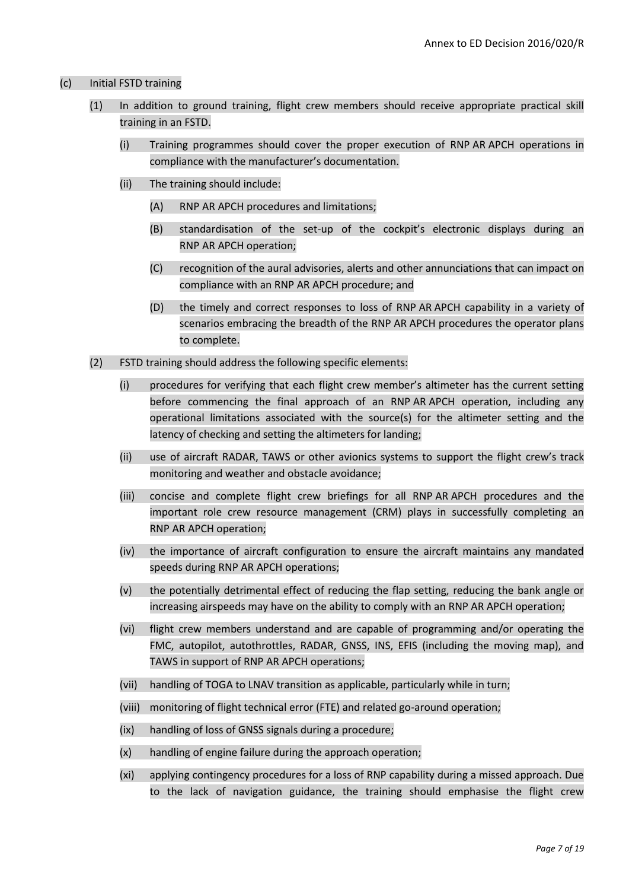#### (c) Initial FSTD training

- (1) In addition to ground training, flight crew members should receive appropriate practical skill training in an FSTD.
	- (i) Training programmes should cover the proper execution of RNP AR APCH operations in compliance with the manufacturer's documentation.
	- (ii) The training should include:
		- (A) RNP AR APCH procedures and limitations;
		- (B) standardisation of the set-up of the cockpit's electronic displays during an RNP AR APCH operation;
		- (C) recognition of the aural advisories, alerts and other annunciations that can impact on compliance with an RNP AR APCH procedure; and
		- (D) the timely and correct responses to loss of RNP AR APCH capability in a variety of scenarios embracing the breadth of the RNP AR APCH procedures the operator plans to complete.
- (2) FSTD training should address the following specific elements:
	- (i) procedures for verifying that each flight crew member's altimeter has the current setting before commencing the final approach of an RNP AR APCH operation, including any operational limitations associated with the source(s) for the altimeter setting and the latency of checking and setting the altimeters for landing;
	- (ii) use of aircraft RADAR, TAWS or other avionics systems to support the flight crew's track monitoring and weather and obstacle avoidance;
	- (iii) concise and complete flight crew briefings for all RNP AR APCH procedures and the important role crew resource management (CRM) plays in successfully completing an RNP AR APCH operation;
	- (iv) the importance of aircraft configuration to ensure the aircraft maintains any mandated speeds during RNP AR APCH operations;
	- (v) the potentially detrimental effect of reducing the flap setting, reducing the bank angle or increasing airspeeds may have on the ability to comply with an RNP AR APCH operation;
	- (vi) flight crew members understand and are capable of programming and/or operating the FMC, autopilot, autothrottles, RADAR, GNSS, INS, EFIS (including the moving map), and TAWS in support of RNP AR APCH operations;
	- (vii) handling of TOGA to LNAV transition as applicable, particularly while in turn;
	- (viii) monitoring of flight technical error (FTE) and related go-around operation;
	- (ix) handling of loss of GNSS signals during a procedure;
	- (x) handling of engine failure during the approach operation;
	- (xi) applying contingency procedures for a loss of RNP capability during a missed approach. Due to the lack of navigation guidance, the training should emphasise the flight crew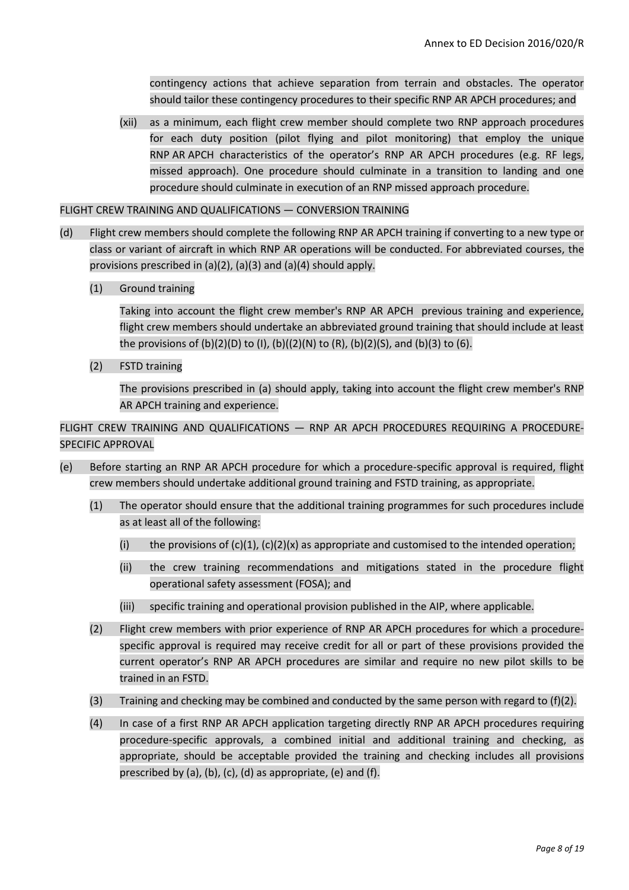contingency actions that achieve separation from terrain and obstacles. The operator should tailor these contingency procedures to their specific RNP AR APCH procedures; and

(xii) as a minimum, each flight crew member should complete two RNP approach procedures for each duty position (pilot flying and pilot monitoring) that employ the unique RNP AR APCH characteristics of the operator's RNP AR APCH procedures (e.g. RF legs, missed approach). One procedure should culminate in a transition to landing and one procedure should culminate in execution of an RNP missed approach procedure.

#### FLIGHT CREW TRAINING AND QUALIFICATIONS — CONVERSION TRAINING

- (d) Flight crew members should complete the following RNP AR APCH training if converting to a new type or class or variant of aircraft in which RNP AR operations will be conducted. For abbreviated courses, the provisions prescribed in (a)(2), (a)(3) and (a)(4) should apply.
	- (1) Ground training

Taking into account the flight crew member's RNP AR APCH previous training and experience, flight crew members should undertake an abbreviated ground training that should include at least the provisions of (b)(2)(D) to (I), (b)((2)(N) to (R), (b)(2)(S), and (b)(3) to (6).

(2) FSTD training

The provisions prescribed in (a) should apply, taking into account the flight crew member's RNP AR APCH training and experience.

FLIGHT CREW TRAINING AND QUALIFICATIONS — RNP AR APCH PROCEDURES REQUIRING A PROCEDURE-SPECIFIC APPROVAL

- (e) Before starting an RNP AR APCH procedure for which a procedure-specific approval is required, flight crew members should undertake additional ground training and FSTD training, as appropriate.
	- (1) The operator should ensure that the additional training programmes for such procedures include as at least all of the following:
		- (i) the provisions of  $(c)(1)$ ,  $(c)(2)(x)$  as appropriate and customised to the intended operation;
		- (ii) the crew training recommendations and mitigations stated in the procedure flight operational safety assessment (FOSA); and
		- (iii) specific training and operational provision published in the AIP, where applicable.
	- (2) Flight crew members with prior experience of RNP AR APCH procedures for which a procedurespecific approval is required may receive credit for all or part of these provisions provided the current operator's RNP AR APCH procedures are similar and require no new pilot skills to be trained in an FSTD.
	- (3) Training and checking may be combined and conducted by the same person with regard to  $(f)(2)$ .
	- (4) In case of a first RNP AR APCH application targeting directly RNP AR APCH procedures requiring procedure-specific approvals, a combined initial and additional training and checking, as appropriate, should be acceptable provided the training and checking includes all provisions prescribed by (a), (b), (c), (d) as appropriate, (e) and (f).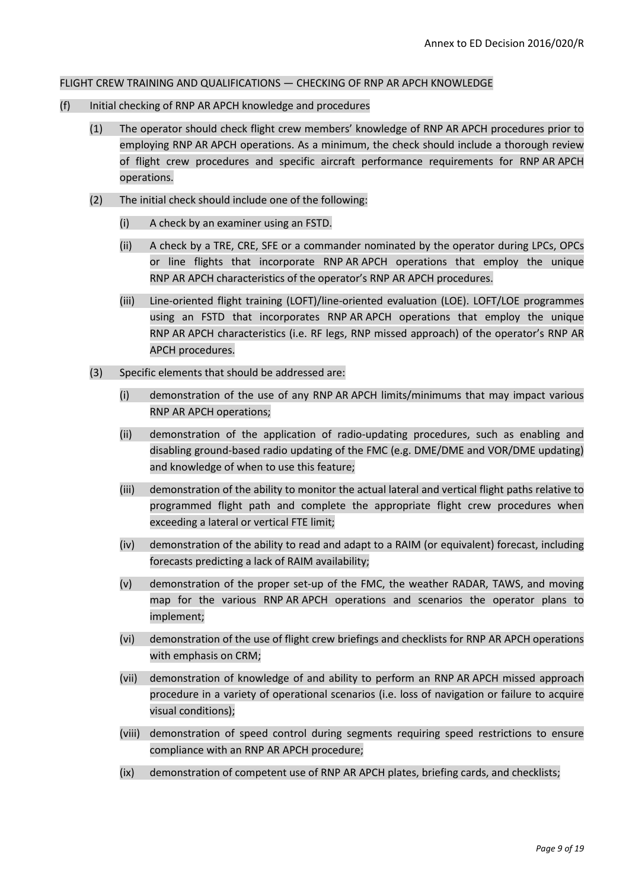#### FLIGHT CREW TRAINING AND QUALIFICATIONS — CHECKING OF RNP AR APCH KNOWLEDGE

- (f) Initial checking of RNP AR APCH knowledge and procedures
	- (1) The operator should check flight crew members' knowledge of RNP AR APCH procedures prior to employing RNP AR APCH operations. As a minimum, the check should include a thorough review of flight crew procedures and specific aircraft performance requirements for RNP AR APCH operations.
	- (2) The initial check should include one of the following:
		- (i) A check by an examiner using an FSTD.
		- (ii) A check by a TRE, CRE, SFE or a commander nominated by the operator during LPCs, OPCs or line flights that incorporate RNP AR APCH operations that employ the unique RNP AR APCH characteristics of the operator's RNP AR APCH procedures.
		- (iii) Line-oriented flight training (LOFT)/line-oriented evaluation (LOE). LOFT/LOE programmes using an FSTD that incorporates RNP AR APCH operations that employ the unique RNP AR APCH characteristics (i.e. RF legs, RNP missed approach) of the operator's RNP AR APCH procedures.
	- (3) Specific elements that should be addressed are:
		- (i) demonstration of the use of any RNP AR APCH limits/minimums that may impact various RNP AR APCH operations;
		- (ii) demonstration of the application of radio-updating procedures, such as enabling and disabling ground-based radio updating of the FMC (e.g. DME/DME and VOR/DME updating) and knowledge of when to use this feature;
		- (iii) demonstration of the ability to monitor the actual lateral and vertical flight paths relative to programmed flight path and complete the appropriate flight crew procedures when exceeding a lateral or vertical FTE limit;
		- (iv) demonstration of the ability to read and adapt to a RAIM (or equivalent) forecast, including forecasts predicting a lack of RAIM availability;
		- (v) demonstration of the proper set-up of the FMC, the weather RADAR, TAWS, and moving map for the various RNP AR APCH operations and scenarios the operator plans to implement;
		- (vi) demonstration of the use of flight crew briefings and checklists for RNP AR APCH operations with emphasis on CRM;
		- (vii) demonstration of knowledge of and ability to perform an RNP AR APCH missed approach procedure in a variety of operational scenarios (i.e. loss of navigation or failure to acquire visual conditions);
		- (viii) demonstration of speed control during segments requiring speed restrictions to ensure compliance with an RNP AR APCH procedure;
		- (ix) demonstration of competent use of RNP AR APCH plates, briefing cards, and checklists;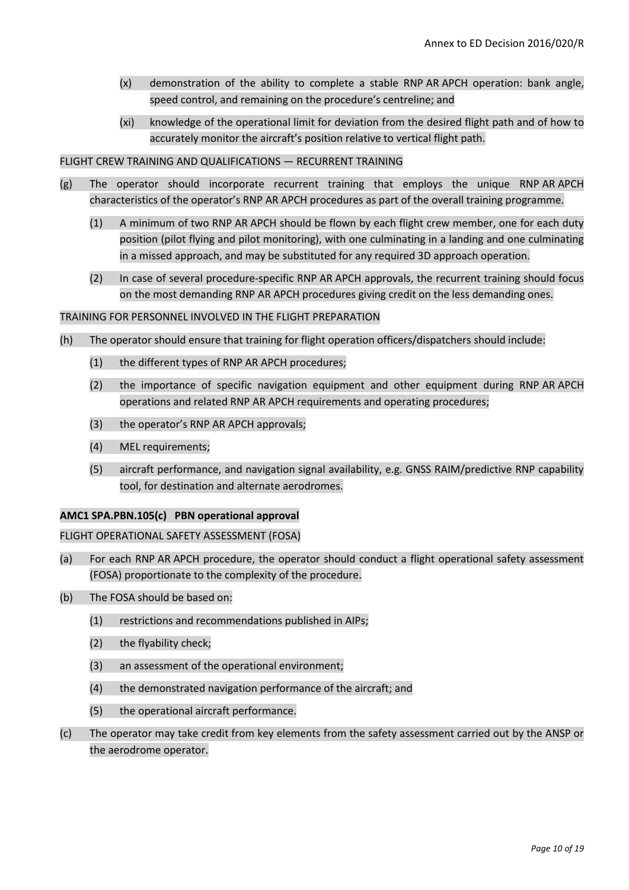- (x) demonstration of the ability to complete a stable RNP AR APCH operation: bank angle, speed control, and remaining on the procedure's centreline; and
- (xi) knowledge of the operational limit for deviation from the desired flight path and of how to accurately monitor the aircraft's position relative to vertical flight path.

#### FLIGHT CREW TRAINING AND QUALIFICATIONS — RECURRENT TRAINING

- (g) The operator should incorporate recurrent training that employs the unique RNP AR APCH characteristics of the operator's RNP AR APCH procedures as part of the overall training programme.
	- (1) A minimum of two RNP AR APCH should be flown by each flight crew member, one for each duty position (pilot flying and pilot monitoring), with one culminating in a landing and one culminating in a missed approach, and may be substituted for any required 3D approach operation.
	- (2) In case of several procedure-specific RNP AR APCH approvals, the recurrent training should focus on the most demanding RNP AR APCH procedures giving credit on the less demanding ones.

#### TRAINING FOR PERSONNEL INVOLVED IN THE FLIGHT PREPARATION

- (h) The operator should ensure that training for flight operation officers/dispatchers should include:
	- (1) the different types of RNP AR APCH procedures;
	- (2) the importance of specific navigation equipment and other equipment during RNP AR APCH operations and related RNP AR APCH requirements and operating procedures;
	- (3) the operator's RNP AR APCH approvals;
	- (4) MEL requirements;
	- (5) aircraft performance, and navigation signal availability, e.g. GNSS RAIM/predictive RNP capability tool, for destination and alternate aerodromes.

#### **AMC1 SPA.PBN.105(c) PBN operational approval**

#### FLIGHT OPERATIONAL SAFETY ASSESSMENT (FOSA)

- (a) For each RNP AR APCH procedure, the operator should conduct a flight operational safety assessment (FOSA) proportionate to the complexity of the procedure.
- (b) The FOSA should be based on:
	- (1) restrictions and recommendations published in AIPs;
	- (2) the flyability check;
	- (3) an assessment of the operational environment;
	- (4) the demonstrated navigation performance of the aircraft; and
	- (5) the operational aircraft performance.
- (c) The operator may take credit from key elements from the safety assessment carried out by the ANSP or the aerodrome operator.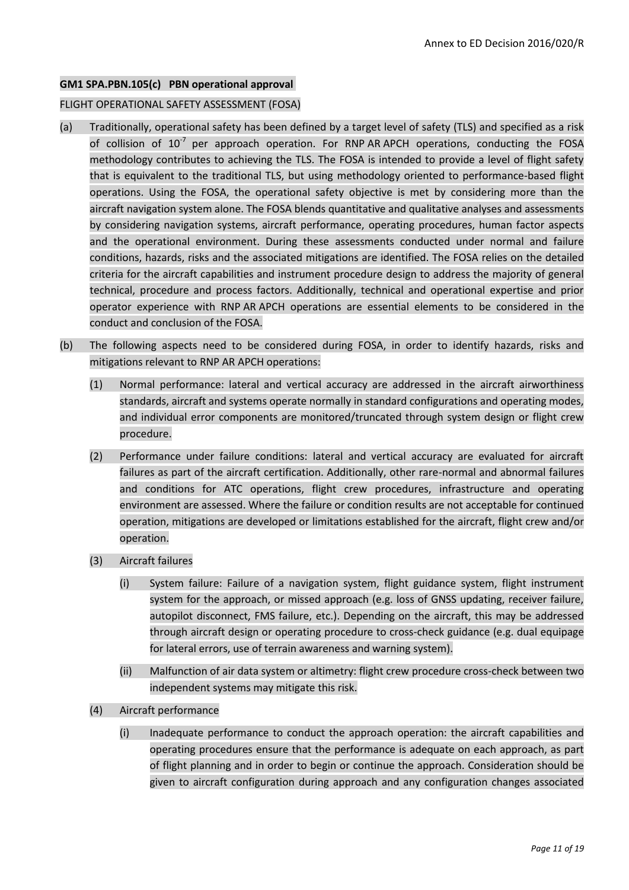#### **GM1 SPA.PBN.105(c) PBN operational approval**

#### FLIGHT OPERATIONAL SAFETY ASSESSMENT (FOSA)

- (a) Traditionally, operational safety has been defined by a target level of safety (TLS) and specified as a risk of collision of  $10^{-7}$  per approach operation. For RNP AR APCH operations, conducting the FOSA methodology contributes to achieving the TLS. The FOSA is intended to provide a level of flight safety that is equivalent to the traditional TLS, but using methodology oriented to performance-based flight operations. Using the FOSA, the operational safety objective is met by considering more than the aircraft navigation system alone. The FOSA blends quantitative and qualitative analyses and assessments by considering navigation systems, aircraft performance, operating procedures, human factor aspects and the operational environment. During these assessments conducted under normal and failure conditions, hazards, risks and the associated mitigations are identified. The FOSA relies on the detailed criteria for the aircraft capabilities and instrument procedure design to address the majority of general technical, procedure and process factors. Additionally, technical and operational expertise and prior operator experience with RNP AR APCH operations are essential elements to be considered in the conduct and conclusion of the FOSA.
- (b) The following aspects need to be considered during FOSA, in order to identify hazards, risks and mitigations relevant to RNP AR APCH operations:
	- (1) Normal performance: lateral and vertical accuracy are addressed in the aircraft airworthiness standards, aircraft and systems operate normally in standard configurations and operating modes, and individual error components are monitored/truncated through system design or flight crew procedure.
	- (2) Performance under failure conditions: lateral and vertical accuracy are evaluated for aircraft failures as part of the aircraft certification. Additionally, other rare-normal and abnormal failures and conditions for ATC operations, flight crew procedures, infrastructure and operating environment are assessed. Where the failure or condition results are not acceptable for continued operation, mitigations are developed or limitations established for the aircraft, flight crew and/or operation.
	- (3) Aircraft failures
		- (i) System failure: Failure of a navigation system, flight guidance system, flight instrument system for the approach, or missed approach (e.g. loss of GNSS updating, receiver failure, autopilot disconnect, FMS failure, etc.). Depending on the aircraft, this may be addressed through aircraft design or operating procedure to cross-check guidance (e.g. dual equipage for lateral errors, use of terrain awareness and warning system).
		- (ii) Malfunction of air data system or altimetry: flight crew procedure cross-check between two independent systems may mitigate this risk.
	- (4) Aircraft performance
		- (i) Inadequate performance to conduct the approach operation: the aircraft capabilities and operating procedures ensure that the performance is adequate on each approach, as part of flight planning and in order to begin or continue the approach. Consideration should be given to aircraft configuration during approach and any configuration changes associated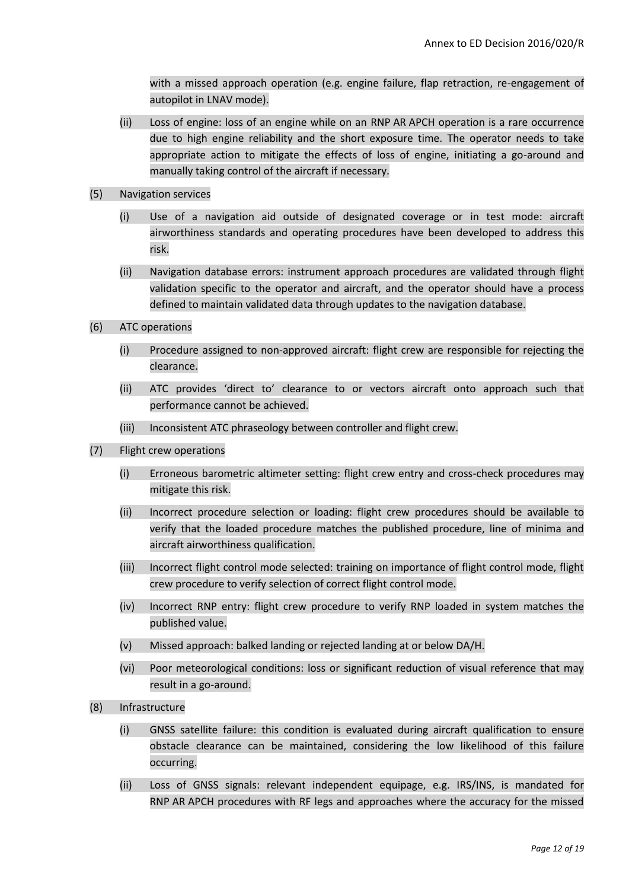with a missed approach operation (e.g. engine failure, flap retraction, re-engagement of autopilot in LNAV mode).

- (ii) Loss of engine: loss of an engine while on an RNP AR APCH operation is a rare occurrence due to high engine reliability and the short exposure time. The operator needs to take appropriate action to mitigate the effects of loss of engine, initiating a go-around and manually taking control of the aircraft if necessary.
- (5) Navigation services
	- (i) Use of a navigation aid outside of designated coverage or in test mode: aircraft airworthiness standards and operating procedures have been developed to address this risk.
	- (ii) Navigation database errors: instrument approach procedures are validated through flight validation specific to the operator and aircraft, and the operator should have a process defined to maintain validated data through updates to the navigation database.
- (6) ATC operations
	- (i) Procedure assigned to non-approved aircraft: flight crew are responsible for rejecting the clearance.
	- (ii) ATC provides 'direct to' clearance to or vectors aircraft onto approach such that performance cannot be achieved.
	- (iii) Inconsistent ATC phraseology between controller and flight crew.
- (7) Flight crew operations
	- (i) Erroneous barometric altimeter setting: flight crew entry and cross-check procedures may mitigate this risk.
	- (ii) Incorrect procedure selection or loading: flight crew procedures should be available to verify that the loaded procedure matches the published procedure, line of minima and aircraft airworthiness qualification.
	- (iii) Incorrect flight control mode selected: training on importance of flight control mode, flight crew procedure to verify selection of correct flight control mode.
	- (iv) Incorrect RNP entry: flight crew procedure to verify RNP loaded in system matches the published value.
	- (v) Missed approach: balked landing or rejected landing at or below DA/H.
	- (vi) Poor meteorological conditions: loss or significant reduction of visual reference that may result in a go-around.
- (8) Infrastructure
	- (i) GNSS satellite failure: this condition is evaluated during aircraft qualification to ensure obstacle clearance can be maintained, considering the low likelihood of this failure occurring.
	- (ii) Loss of GNSS signals: relevant independent equipage, e.g. IRS/INS, is mandated for RNP AR APCH procedures with RF legs and approaches where the accuracy for the missed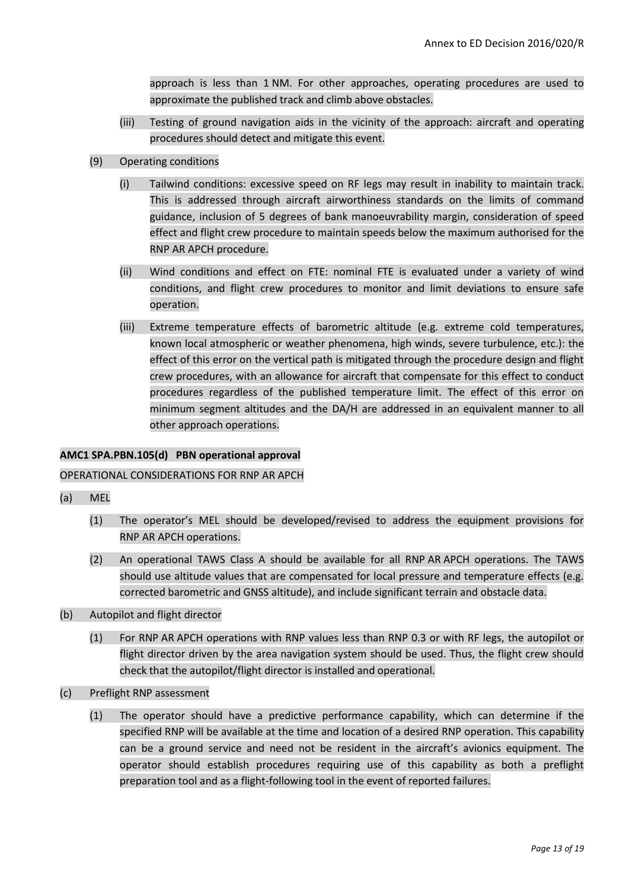approach is less than 1 NM. For other approaches, operating procedures are used to approximate the published track and climb above obstacles.

- (iii) Testing of ground navigation aids in the vicinity of the approach: aircraft and operating procedures should detect and mitigate this event.
- (9) Operating conditions
	- (i) Tailwind conditions: excessive speed on RF legs may result in inability to maintain track. This is addressed through aircraft airworthiness standards on the limits of command guidance, inclusion of 5 degrees of bank manoeuvrability margin, consideration of speed effect and flight crew procedure to maintain speeds below the maximum authorised for the RNP AR APCH procedure.
	- (ii) Wind conditions and effect on FTE: nominal FTE is evaluated under a variety of wind conditions, and flight crew procedures to monitor and limit deviations to ensure safe operation.
	- (iii) Extreme temperature effects of barometric altitude (e.g. extreme cold temperatures, known local atmospheric or weather phenomena, high winds, severe turbulence, etc.): the effect of this error on the vertical path is mitigated through the procedure design and flight crew procedures, with an allowance for aircraft that compensate for this effect to conduct procedures regardless of the published temperature limit. The effect of this error on minimum segment altitudes and the DA/H are addressed in an equivalent manner to all other approach operations.

#### **AMC1 SPA.PBN.105(d) PBN operational approval**

#### OPERATIONAL CONSIDERATIONS FOR RNP AR APCH

- (a) MEL
	- (1) The operator's MEL should be developed/revised to address the equipment provisions for RNP AR APCH operations.
	- (2) An operational TAWS Class A should be available for all RNP AR APCH operations. The TAWS should use altitude values that are compensated for local pressure and temperature effects (e.g. corrected barometric and GNSS altitude), and include significant terrain and obstacle data.
- (b) Autopilot and flight director
	- (1) For RNP AR APCH operations with RNP values less than RNP 0.3 or with RF legs, the autopilot or flight director driven by the area navigation system should be used. Thus, the flight crew should check that the autopilot/flight director is installed and operational.
- (c) Preflight RNP assessment
	- (1) The operator should have a predictive performance capability, which can determine if the specified RNP will be available at the time and location of a desired RNP operation. This capability can be a ground service and need not be resident in the aircraft's avionics equipment. The operator should establish procedures requiring use of this capability as both a preflight preparation tool and as a flight-following tool in the event of reported failures.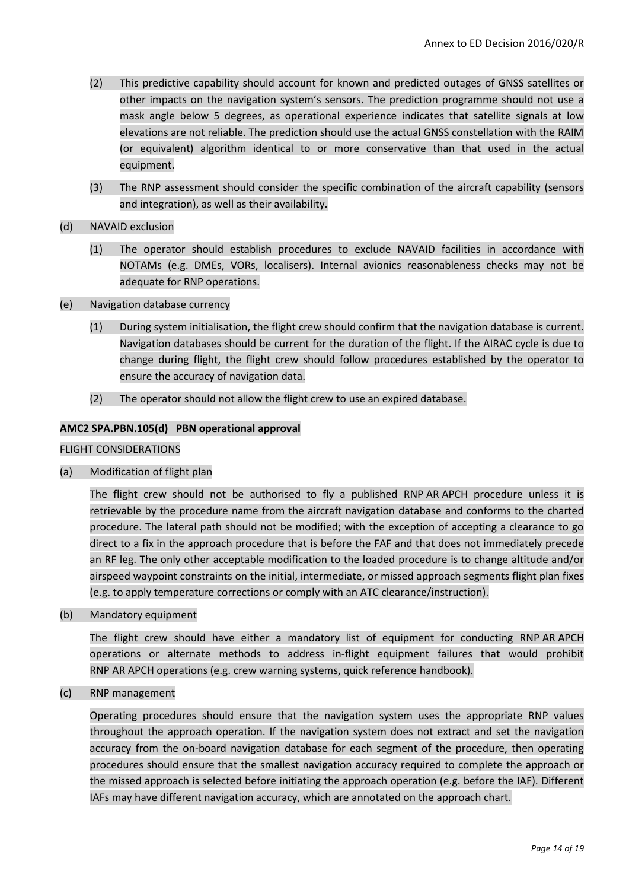- (2) This predictive capability should account for known and predicted outages of GNSS satellites or other impacts on the navigation system's sensors. The prediction programme should not use a mask angle below 5 degrees, as operational experience indicates that satellite signals at low elevations are not reliable. The prediction should use the actual GNSS constellation with the RAIM (or equivalent) algorithm identical to or more conservative than that used in the actual equipment.
- (3) The RNP assessment should consider the specific combination of the aircraft capability (sensors and integration), as well as their availability.
- (d) NAVAID exclusion
	- (1) The operator should establish procedures to exclude NAVAID facilities in accordance with NOTAMs (e.g. DMEs, VORs, localisers). Internal avionics reasonableness checks may not be adequate for RNP operations.
- (e) Navigation database currency
	- (1) During system initialisation, the flight crew should confirm that the navigation database is current. Navigation databases should be current for the duration of the flight. If the AIRAC cycle is due to change during flight, the flight crew should follow procedures established by the operator to ensure the accuracy of navigation data.
	- (2) The operator should not allow the flight crew to use an expired database.

#### **AMC2 SPA.PBN.105(d) PBN operational approval**

FLIGHT CONSIDERATIONS

(a) Modification of flight plan

The flight crew should not be authorised to fly a published RNP AR APCH procedure unless it is retrievable by the procedure name from the aircraft navigation database and conforms to the charted procedure. The lateral path should not be modified; with the exception of accepting a clearance to go direct to a fix in the approach procedure that is before the FAF and that does not immediately precede an RF leg. The only other acceptable modification to the loaded procedure is to change altitude and/or airspeed waypoint constraints on the initial, intermediate, or missed approach segments flight plan fixes (e.g. to apply temperature corrections or comply with an ATC clearance/instruction).

(b) Mandatory equipment

The flight crew should have either a mandatory list of equipment for conducting RNP AR APCH operations or alternate methods to address in-flight equipment failures that would prohibit RNP AR APCH operations (e.g. crew warning systems, quick reference handbook).

(c) RNP management

Operating procedures should ensure that the navigation system uses the appropriate RNP values throughout the approach operation. If the navigation system does not extract and set the navigation accuracy from the on-board navigation database for each segment of the procedure, then operating procedures should ensure that the smallest navigation accuracy required to complete the approach or the missed approach is selected before initiating the approach operation (e.g. before the IAF). Different IAFs may have different navigation accuracy, which are annotated on the approach chart.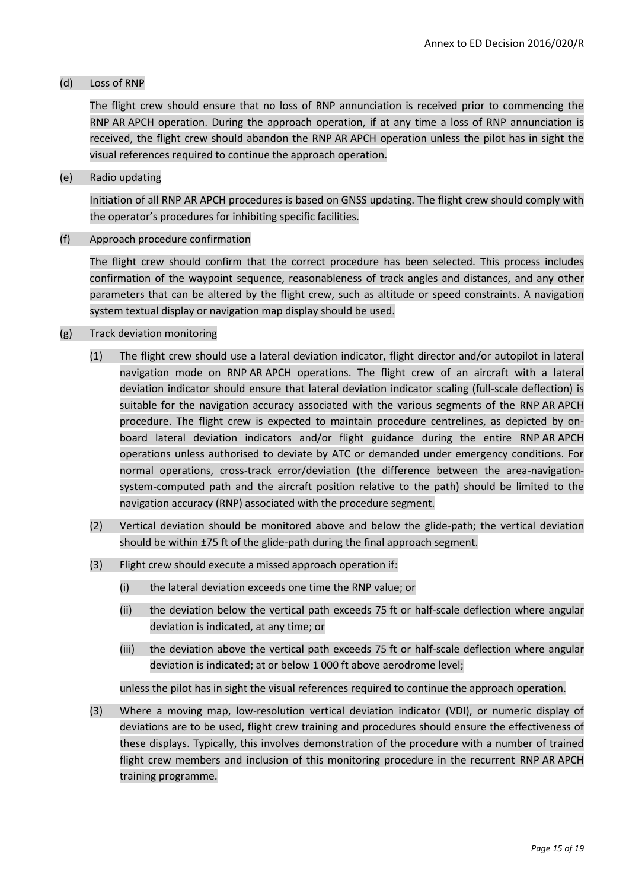#### (d) Loss of RNP

The flight crew should ensure that no loss of RNP annunciation is received prior to commencing the RNP AR APCH operation. During the approach operation, if at any time a loss of RNP annunciation is received, the flight crew should abandon the RNP AR APCH operation unless the pilot has in sight the visual references required to continue the approach operation.

(e) Radio updating

Initiation of all RNP AR APCH procedures is based on GNSS updating. The flight crew should comply with the operator's procedures for inhibiting specific facilities.

(f) Approach procedure confirmation

The flight crew should confirm that the correct procedure has been selected. This process includes confirmation of the waypoint sequence, reasonableness of track angles and distances, and any other parameters that can be altered by the flight crew, such as altitude or speed constraints. A navigation system textual display or navigation map display should be used.

#### (g) Track deviation monitoring

- (1) The flight crew should use a lateral deviation indicator, flight director and/or autopilot in lateral navigation mode on RNP AR APCH operations. The flight crew of an aircraft with a lateral deviation indicator should ensure that lateral deviation indicator scaling (full-scale deflection) is suitable for the navigation accuracy associated with the various segments of the RNP AR APCH procedure. The flight crew is expected to maintain procedure centrelines, as depicted by onboard lateral deviation indicators and/or flight guidance during the entire RNP AR APCH operations unless authorised to deviate by ATC or demanded under emergency conditions. For normal operations, cross-track error/deviation (the difference between the area-navigationsystem-computed path and the aircraft position relative to the path) should be limited to the navigation accuracy (RNP) associated with the procedure segment.
- (2) Vertical deviation should be monitored above and below the glide-path; the vertical deviation should be within ±75 ft of the glide-path during the final approach segment.
- (3) Flight crew should execute a missed approach operation if:
	- (i) the lateral deviation exceeds one time the RNP value; or
	- (ii) the deviation below the vertical path exceeds 75 ft or half-scale deflection where angular deviation is indicated, at any time; or
	- (iii) the deviation above the vertical path exceeds 75 ft or half-scale deflection where angular deviation is indicated; at or below 1 000 ft above aerodrome level;

unless the pilot has in sight the visual references required to continue the approach operation.

(3) Where a moving map, low-resolution vertical deviation indicator (VDI), or numeric display of deviations are to be used, flight crew training and procedures should ensure the effectiveness of these displays. Typically, this involves demonstration of the procedure with a number of trained flight crew members and inclusion of this monitoring procedure in the recurrent RNP AR APCH training programme.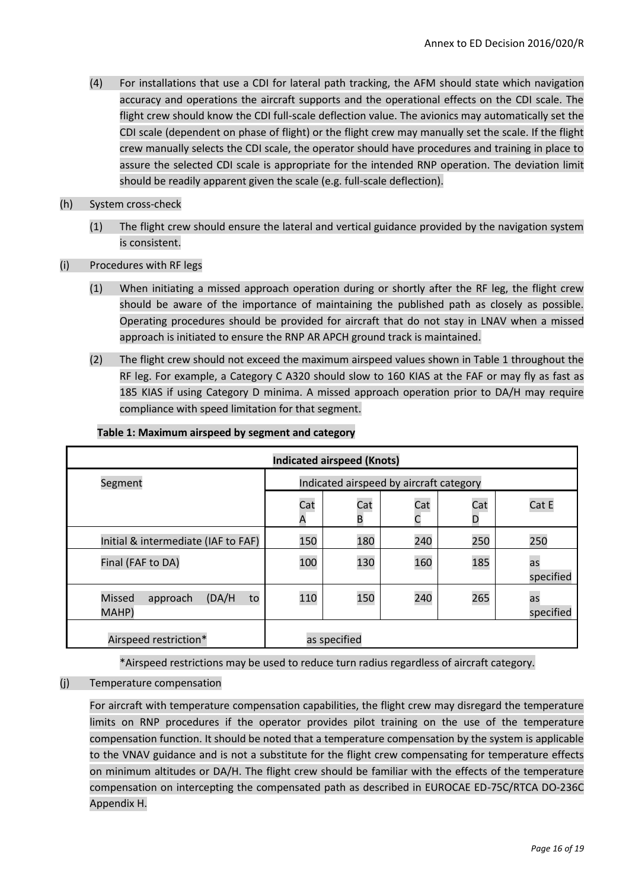- (4) For installations that use a CDI for lateral path tracking, the AFM should state which navigation accuracy and operations the aircraft supports and the operational effects on the CDI scale. The flight crew should know the CDI full-scale deflection value. The avionics may automatically set the CDI scale (dependent on phase of flight) or the flight crew may manually set the scale. If the flight crew manually selects the CDI scale, the operator should have procedures and training in place to assure the selected CDI scale is appropriate for the intended RNP operation. The deviation limit should be readily apparent given the scale (e.g. full-scale deflection).
- (h) System cross-check
	- (1) The flight crew should ensure the lateral and vertical guidance provided by the navigation system is consistent.
- (i) Procedures with RF legs
	- (1) When initiating a missed approach operation during or shortly after the RF leg, the flight crew should be aware of the importance of maintaining the published path as closely as possible. Operating procedures should be provided for aircraft that do not stay in LNAV when a missed approach is initiated to ensure the RNP AR APCH ground track is maintained.
	- (2) The flight crew should not exceed the maximum airspeed values shown in Table 1 throughout the RF leg. For example, a Category C A320 should slow to 160 KIAS at the FAF or may fly as fast as 185 KIAS if using Category D minima. A missed approach operation prior to DA/H may require compliance with speed limitation for that segment.

| <b>Indicated airspeed (Knots)</b>           |                                         |              |     |          |                 |  |  |  |  |
|---------------------------------------------|-----------------------------------------|--------------|-----|----------|-----------------|--|--|--|--|
| Segment                                     | Indicated airspeed by aircraft category |              |     |          |                 |  |  |  |  |
|                                             | Cat<br>Α                                | Cat<br>B     | Cat | Cat<br>D | Cat E           |  |  |  |  |
| Initial & intermediate (IAF to FAF)         | 150                                     | 180          | 240 | 250      | 250             |  |  |  |  |
| Final (FAF to DA)                           | 100                                     | 130          | 160 | 185      | as<br>specified |  |  |  |  |
| (DA/H)<br>Missed<br>approach<br>to<br>MAHP) | 110                                     | 150          | 240 | 265      | as<br>specified |  |  |  |  |
| Airspeed restriction*                       |                                         | as specified |     |          |                 |  |  |  |  |

#### **Table 1: Maximum airspeed by segment and category**

\*Airspeed restrictions may be used to reduce turn radius regardless of aircraft category.

(j) Temperature compensation

For aircraft with temperature compensation capabilities, the flight crew may disregard the temperature limits on RNP procedures if the operator provides pilot training on the use of the temperature compensation function. It should be noted that a temperature compensation by the system is applicable to the VNAV guidance and is not a substitute for the flight crew compensating for temperature effects on minimum altitudes or DA/H. The flight crew should be familiar with the effects of the temperature compensation on intercepting the compensated path as described in EUROCAE ED-75C/RTCA DO-236C Appendix H.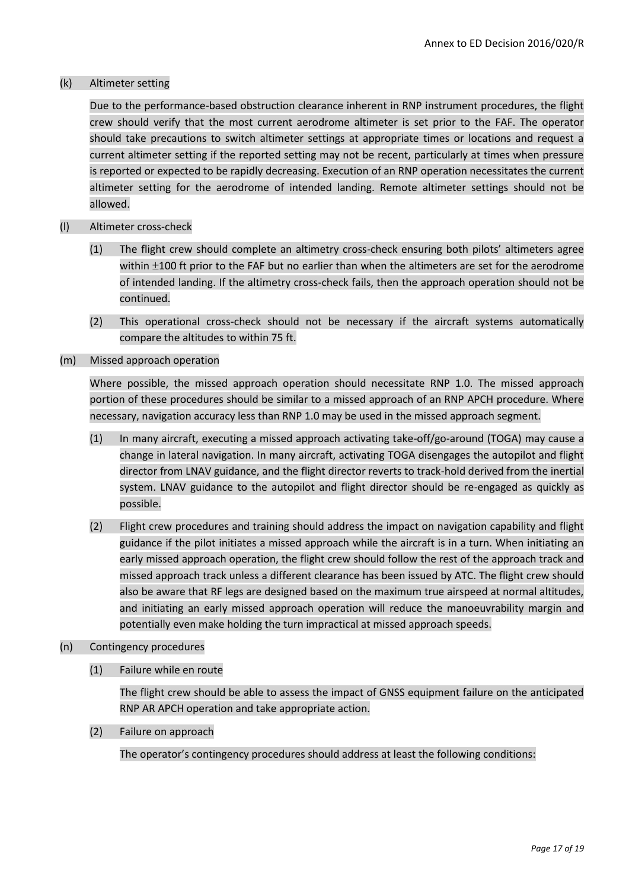#### (k) Altimeter setting

Due to the performance-based obstruction clearance inherent in RNP instrument procedures, the flight crew should verify that the most current aerodrome altimeter is set prior to the FAF. The operator should take precautions to switch altimeter settings at appropriate times or locations and request a current altimeter setting if the reported setting may not be recent, particularly at times when pressure is reported or expected to be rapidly decreasing. Execution of an RNP operation necessitates the current altimeter setting for the aerodrome of intended landing. Remote altimeter settings should not be allowed.

#### (l) Altimeter cross-check

- (1) The flight crew should complete an altimetry cross-check ensuring both pilots' altimeters agree within  $\pm 100$  ft prior to the FAF but no earlier than when the altimeters are set for the aerodrome of intended landing. If the altimetry cross-check fails, then the approach operation should not be continued.
- (2) This operational cross-check should not be necessary if the aircraft systems automatically compare the altitudes to within 75 ft.
- (m) Missed approach operation

Where possible, the missed approach operation should necessitate RNP 1.0. The missed approach portion of these procedures should be similar to a missed approach of an RNP APCH procedure. Where necessary, navigation accuracy less than RNP 1.0 may be used in the missed approach segment.

- (1) In many aircraft, executing a missed approach activating take-off/go-around (TOGA) may cause a change in lateral navigation. In many aircraft, activating TOGA disengages the autopilot and flight director from LNAV guidance, and the flight director reverts to track-hold derived from the inertial system. LNAV guidance to the autopilot and flight director should be re-engaged as quickly as possible.
- (2) Flight crew procedures and training should address the impact on navigation capability and flight guidance if the pilot initiates a missed approach while the aircraft is in a turn. When initiating an early missed approach operation, the flight crew should follow the rest of the approach track and missed approach track unless a different clearance has been issued by ATC. The flight crew should also be aware that RF legs are designed based on the maximum true airspeed at normal altitudes, and initiating an early missed approach operation will reduce the manoeuvrability margin and potentially even make holding the turn impractical at missed approach speeds.
- (n) Contingency procedures
	- (1) Failure while en route

The flight crew should be able to assess the impact of GNSS equipment failure on the anticipated RNP AR APCH operation and take appropriate action.

(2) Failure on approach

The operator's contingency procedures should address at least the following conditions: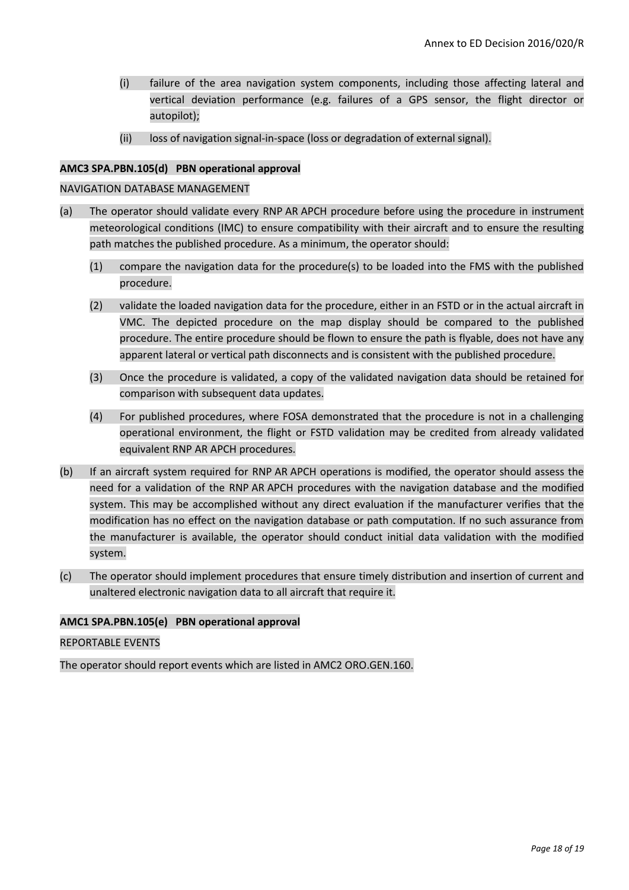- (i) failure of the area navigation system components, including those affecting lateral and vertical deviation performance (e.g. failures of a GPS sensor, the flight director or autopilot);
- (ii) loss of navigation signal-in-space (loss or degradation of external signal).

# **AMC3 SPA.PBN.105(d) PBN operational approval**

# NAVIGATION DATABASE MANAGEMENT

- (a) The operator should validate every RNP AR APCH procedure before using the procedure in instrument meteorological conditions (IMC) to ensure compatibility with their aircraft and to ensure the resulting path matches the published procedure. As a minimum, the operator should:
	- (1) compare the navigation data for the procedure(s) to be loaded into the FMS with the published procedure.
	- (2) validate the loaded navigation data for the procedure, either in an FSTD or in the actual aircraft in VMC. The depicted procedure on the map display should be compared to the published procedure. The entire procedure should be flown to ensure the path is flyable, does not have any apparent lateral or vertical path disconnects and is consistent with the published procedure.
	- (3) Once the procedure is validated, a copy of the validated navigation data should be retained for comparison with subsequent data updates.
	- (4) For published procedures, where FOSA demonstrated that the procedure is not in a challenging operational environment, the flight or FSTD validation may be credited from already validated equivalent RNP AR APCH procedures.
- (b) If an aircraft system required for RNP AR APCH operations is modified, the operator should assess the need for a validation of the RNP AR APCH procedures with the navigation database and the modified system. This may be accomplished without any direct evaluation if the manufacturer verifies that the modification has no effect on the navigation database or path computation. If no such assurance from the manufacturer is available, the operator should conduct initial data validation with the modified system.
- (c) The operator should implement procedures that ensure timely distribution and insertion of current and unaltered electronic navigation data to all aircraft that require it.

# **AMC1 SPA.PBN.105(e) PBN operational approval**

# REPORTABLE EVENTS

The operator should report events which are listed in AMC2 ORO.GEN.160.